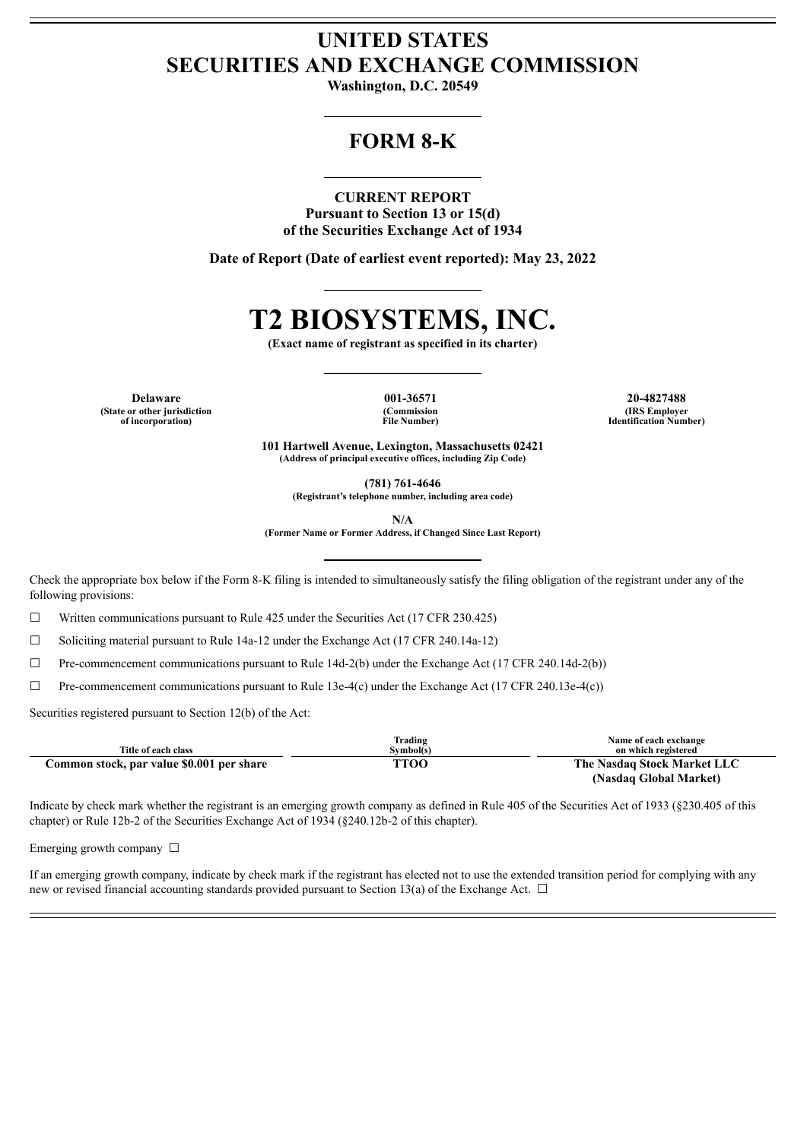## **UNITED STATES SECURITIES AND EXCHANGE COMMISSION**

**Washington, D.C. 20549**

## **FORM 8-K**

#### **CURRENT REPORT**

**Pursuant to Section 13 or 15(d) of the Securities Exchange Act of 1934**

**Date of Report (Date of earliest event reported): May 23, 2022**

# **T2 BIOSYSTEMS, INC.**

**(Exact name of registrant as specified in its charter)**

**Delaware 001-36571 20-4827488 (State or other jurisdiction of incorporation)**

**(Commission File Number)**

**(IRS Employer Identification Number)**

**101 Hartwell Avenue, Lexington, Massachusetts 02421 (Address of principal executive offices, including Zip Code)**

**(781) 761-4646**

**(Registrant's telephone number, including area code)**

**N/A**

**(Former Name or Former Address, if Changed Since Last Report)**

Check the appropriate box below if the Form 8-K filing is intended to simultaneously satisfy the filing obligation of the registrant under any of the following provisions:

☐ Written communications pursuant to Rule 425 under the Securities Act (17 CFR 230.425)

 $\Box$  Soliciting material pursuant to Rule 14a-12 under the Exchange Act (17 CFR 240.14a-12)

☐ Pre-commencement communications pursuant to Rule 14d-2(b) under the Exchange Act (17 CFR 240.14d-2(b))

 $\Box$  Pre-commencement communications pursuant to Rule 13e-4(c) under the Exchange Act (17 CFR 240.13e-4(c))

Securities registered pursuant to Section 12(b) of the Act:

| Title of each class                       | Trading<br>Symbol(s) | Name of each exchange<br>on which registered |
|-------------------------------------------|----------------------|----------------------------------------------|
| Common stock, par value \$0.001 per share | TTOO                 | The Nasdaq Stock Market LLC                  |
|                                           |                      | (Nasdaq Global Market)                       |

Indicate by check mark whether the registrant is an emerging growth company as defined in Rule 405 of the Securities Act of 1933 (§230.405 of this chapter) or Rule 12b-2 of the Securities Exchange Act of 1934 (§240.12b-2 of this chapter).

Emerging growth company  $\Box$ 

If an emerging growth company, indicate by check mark if the registrant has elected not to use the extended transition period for complying with any new or revised financial accounting standards provided pursuant to Section 13(a) of the Exchange Act.  $\Box$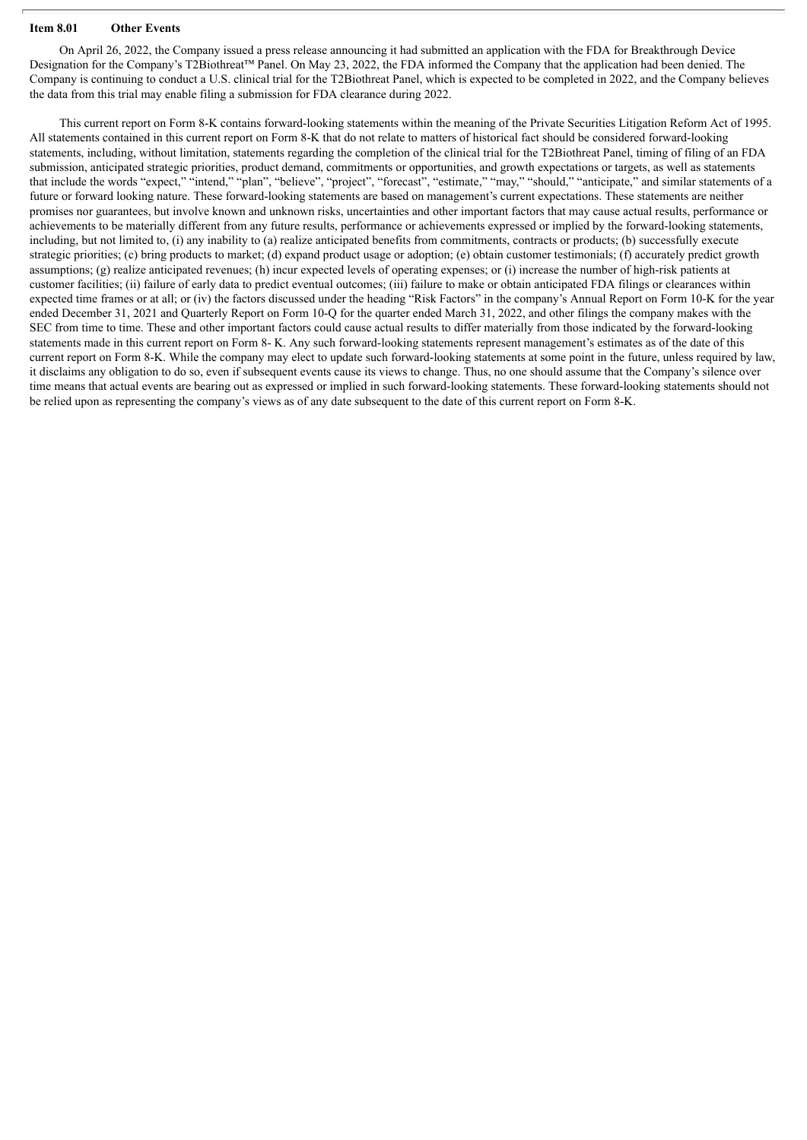### **Item 8.01 Other Events**

On April 26, 2022, the Company issued a press release announcing it had submitted an application with the FDA for Breakthrough Device Designation for the Company's T2Biothreat™ Panel. On May 23, 2022, the FDA informed the Company that the application had been denied. The Company is continuing to conduct a U.S. clinical trial for the T2Biothreat Panel, which is expected to be completed in 2022, and the Company believes the data from this trial may enable filing a submission for FDA clearance during 2022.

This current report on Form 8-K contains forward-looking statements within the meaning of the Private Securities Litigation Reform Act of 1995. All statements contained in this current report on Form 8-K that do not relate to matters of historical fact should be considered forward-looking statements, including, without limitation, statements regarding the completion of the clinical trial for the T2Biothreat Panel, timing of filing of an FDA submission, anticipated strategic priorities, product demand, commitments or opportunities, and growth expectations or targets, as well as statements that include the words "expect," "intend," "plan", "believe", "project", "forecast", "estimate," "may," "should," "anticipate," and similar statements of a future or forward looking nature. These forward-looking statements are based on management's current expectations. These statements are neither promises nor guarantees, but involve known and unknown risks, uncertainties and other important factors that may cause actual results, performance or achievements to be materially different from any future results, performance or achievements expressed or implied by the forward-looking statements, including, but not limited to, (i) any inability to (a) realize anticipated benefits from commitments, contracts or products; (b) successfully execute strategic priorities; (c) bring products to market; (d) expand product usage or adoption; (e) obtain customer testimonials; (f) accurately predict growth assumptions; (g) realize anticipated revenues; (h) incur expected levels of operating expenses; or (i) increase the number of high-risk patients at customer facilities; (ii) failure of early data to predict eventual outcomes; (iii) failure to make or obtain anticipated FDA filings or clearances within expected time frames or at all; or (iv) the factors discussed under the heading "Risk Factors" in the company's Annual Report on Form 10-K for the year ended December 31, 2021 and Quarterly Report on Form 10-Q for the quarter ended March 31, 2022, and other filings the company makes with the SEC from time to time. These and other important factors could cause actual results to differ materially from those indicated by the forward-looking statements made in this current report on Form 8- K. Any such forward-looking statements represent management's estimates as of the date of this current report on Form 8-K. While the company may elect to update such forward-looking statements at some point in the future, unless required by law, it disclaims any obligation to do so, even if subsequent events cause its views to change. Thus, no one should assume that the Company's silence over time means that actual events are bearing out as expressed or implied in such forward-looking statements. These forward-looking statements should not be relied upon as representing the company's views as of any date subsequent to the date of this current report on Form 8-K.